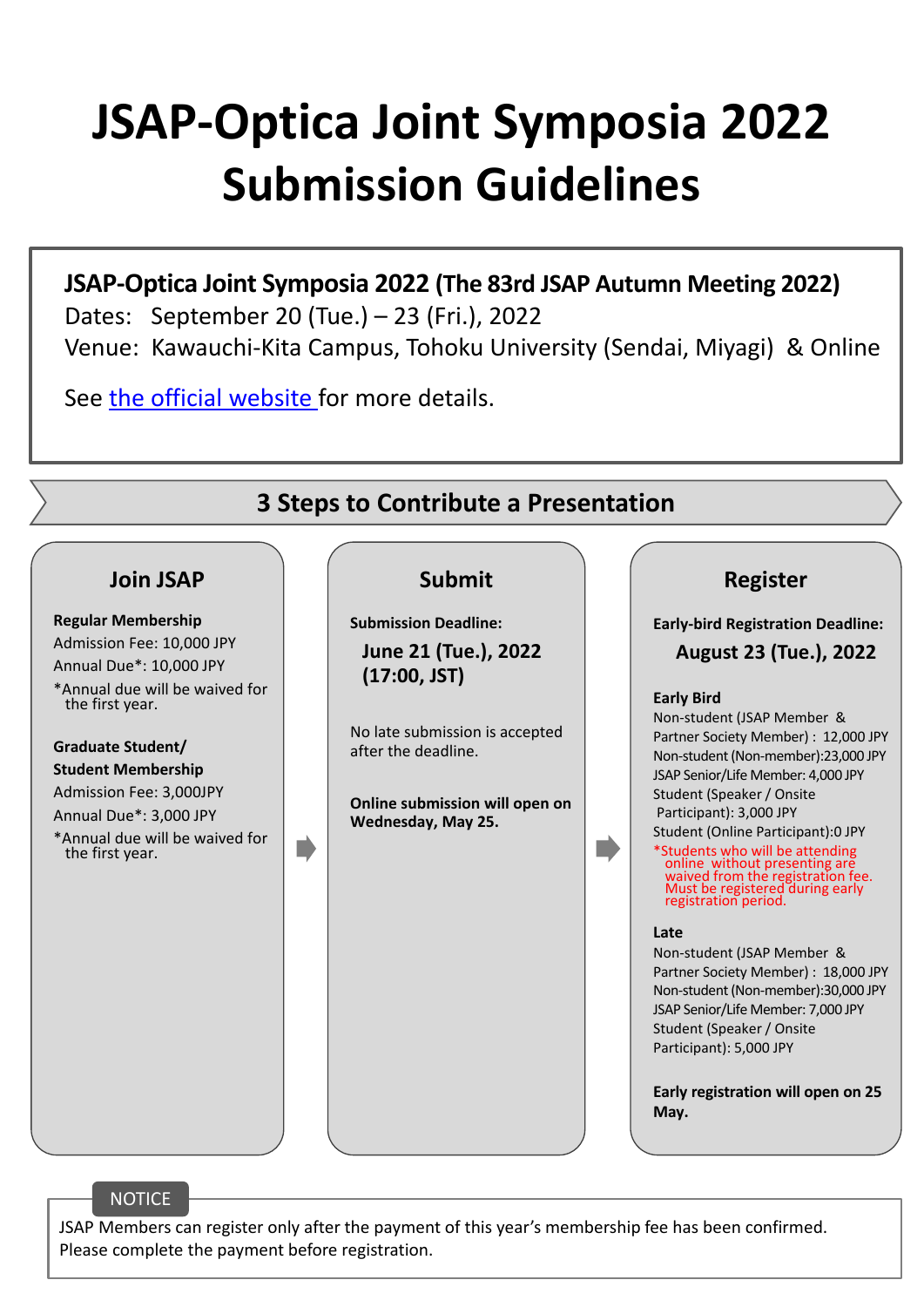# **JSAP‐Optica Joint Symposia 2022 Submission Guidelines**

**JSAP‐Optica Joint Symposia 2022 (The 83rd JSAP Autumn Meeting 2022)** Dates: September 20 (Tue.) – 23 (Fri.), 2022 Venue: Kawauchi‐Kita Campus, Tohoku University (Sendai, Miyagi) & Online

See the official website for more details.



JSAP Members can register only after the payment of this year's membership fee has been confirmed. Please complete the payment before registration.